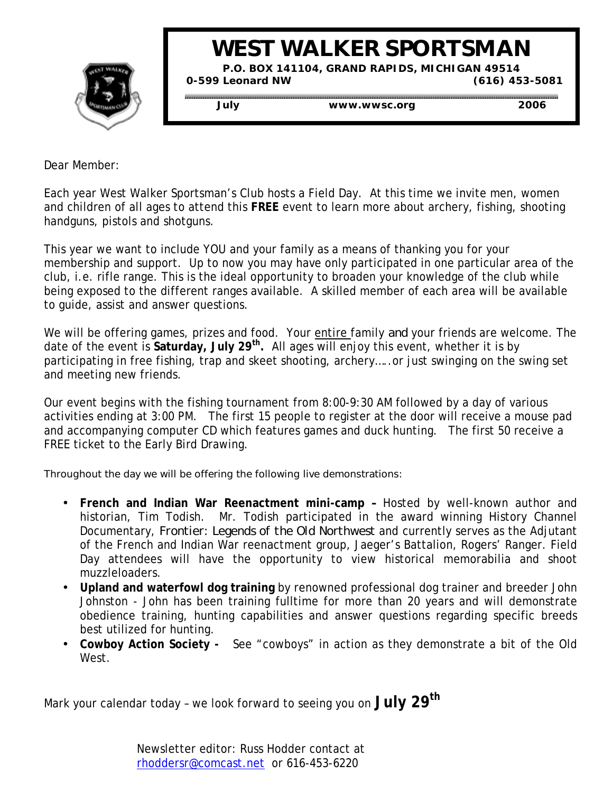

# **WEST WALKER SPORTSMAN**

**P.O. BOX 141104, GRAND RAPIDS, MICHIGAN 49514 0-599 Leonard NW (616) 453-5081**

 **July www.wwsc.org 2006**

Dear Member:

Each year West Walker Sportsman's Club hosts a Field Day. At this time we invite men, women and children of all ages to attend this **FREE** event to learn more about archery, fishing, shooting handguns, pistols and shotguns.

This year we want to include YOU and your family as a means of thanking you for your membership and support. Up to now you may have only participated in one particular area of the club, i.e. rifle range. This is the ideal opportunity to broaden your knowledge of the club while being exposed to the different ranges available. A skilled member of each area will be available to guide, assist and answer questions.

We will be offering games, prizes and food. Your entire family *and* your friends are welcome. The date of the event is **Saturday, July 29th.** All ages will enjoy this event, whether it is by participating in free fishing, trap and skeet shooting, archery…..or just swinging on the swing set and meeting new friends.

Our event begins with the fishing tournament from 8:00-9:30 AM followed by a day of various activities ending at 3:00 PM. The first 15 people to register at the door will receive a mouse pad and accompanying computer CD which features games and duck hunting. The first 50 receive a FREE ticket to the Early Bird Drawing.

Throughout the day we will be offering the following live demonstrations:

- **French and Indian War Reenactment mini-camp** Hosted by well-known author and historian, Tim Todish. Mr. Todish participated in the award winning History Channel Documentary, *Frontier: Legends of the Old Northwest* and currently serves as the Adjutant of the French and Indian War reenactment group, Jaeger's Battalion, Rogers' Ranger. Field Day attendees will have the opportunity to view historical memorabilia and shoot muzzleloaders.
- **Upland and waterfowl dog training** by renowned professional dog trainer and breeder John Johnston - John has been training fulltime for more than 20 years and will demonstrate obedience training, hunting capabilities and answer questions regarding specific breeds best utilized for hunting.
- **Cowboy Action Society** See "cowboys" in action as they demonstrate a bit of the Old West.

Mark your calendar today – we look forward to seeing you on **July 29th**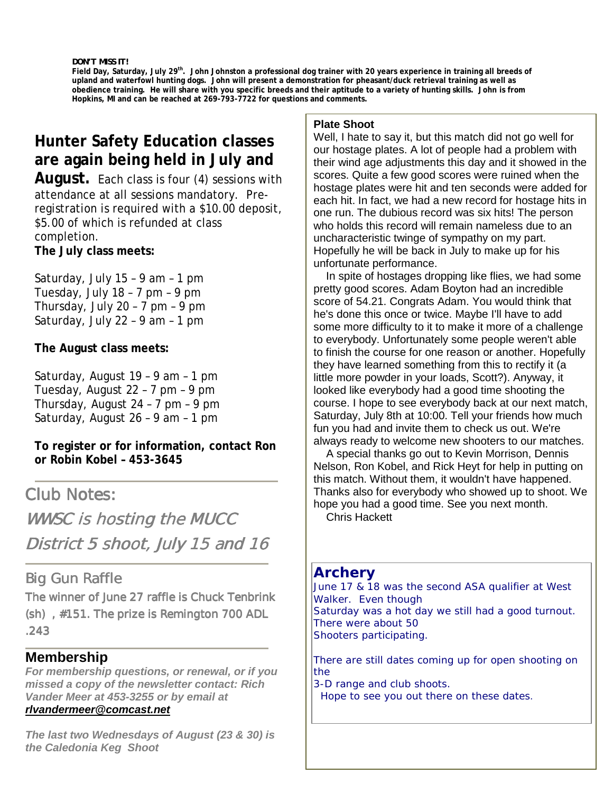*DON'T MISS IT!*

Field Day, Saturday, July 29<sup>th</sup>. John Johnston a professional dog trainer with 20 years experience in training all breeds of **upland and waterfowl hunting dogs. John will present a demonstration for pheasant/duck retrieval training as well as obedience training. He will share with you specific breeds and their aptitude to a variety of hunting skills. John is from Hopkins, MI and can be reached at 269-793-7722 for questions and comments.**

## **Hunter Safety Education classes are again being held in July and**

**August.** Each class is four (4) sessions with attendance at all sessions mandatory. Preregistration is required with a \$10.00 deposit, \$5.00 of which is refunded at class completion. **The July class meets:**

Saturday, July 15 – 9 am – 1 pm Tuesday, July 18 – 7 pm – 9 pm Thursday, July 20 – 7 pm – 9 pm Saturday, July 22 – 9 am – 1 pm

#### **The August class meets:**

Saturday, August 19 – 9 am – 1 pm Tuesday, August 22 – 7 pm – 9 pm Thursday, August 24 – 7 pm – 9 pm Saturday, August 26 – 9 am – 1 pm

**To register or for information, contact Ron or Robin Kobel – 453-3645**

Club Notes:

WWSC is hosting the MUCC District 5 shoot, July 15 and 16

### Big Gun Raffle

The winner of June 27 raffle is Chuck Tenbrink  $(\sh)$ , #151. The prize is Remington 700 ADL .243

### **Membership**

*For membership questions, or renewal, or if you missed a copy of the newsletter contact: Rich Vander Meer at 453-3255 or by email at*

#### *rlvandermeer@comcast.net*

*The last two Wednesdays of August (23 & 30) is the Caledonia Keg Shoot*

#### **Plate Shoot**

Well, I hate to say it, but this match did not go well for our hostage plates. A lot of people had a problem with their wind age adjustments this day and it showed in the scores. Quite a few good scores were ruined when the hostage plates were hit and ten seconds were added for each hit. In fact, we had a new record for hostage hits in one run. The dubious record was six hits! The person who holds this record will remain nameless due to an uncharacteristic twinge of sympathy on my part. Hopefully he will be back in July to make up for his unfortunate performance.

 In spite of hostages dropping like flies, we had some pretty good scores. Adam Boyton had an incredible score of 54.21. Congrats Adam. You would think that he's done this once or twice. Maybe I'll have to add some more difficulty to it to make it more of a challenge to everybody. Unfortunately some people weren't able to finish the course for one reason or another. Hopefully they have learned something from this to rectify it (a little more powder in your loads, Scott?). Anyway, it looked like everybody had a good time shooting the course. I hope to see everybody back at our next match, Saturday, July 8th at 10:00. Tell your friends how much fun you had and invite them to check us out. We're always ready to welcome new shooters to our matches.

 A special thanks go out to Kevin Morrison, Dennis Nelson, Ron Kobel, and Rick Heyt for help in putting on this match. Without them, it wouldn't have happened. Thanks also for everybody who showed up to shoot. We hope you had a good time. See you next month. Chris Hackett

# **Archery**

June 17 & 18 was the second ASA qualifier at West Walker. Even though Saturday was a hot day we still had a good turnout. There were about 50 Shooters participating.

There are still dates coming up for open shooting on the

3-D range and club shoots.

Hope to see you out there on these dates.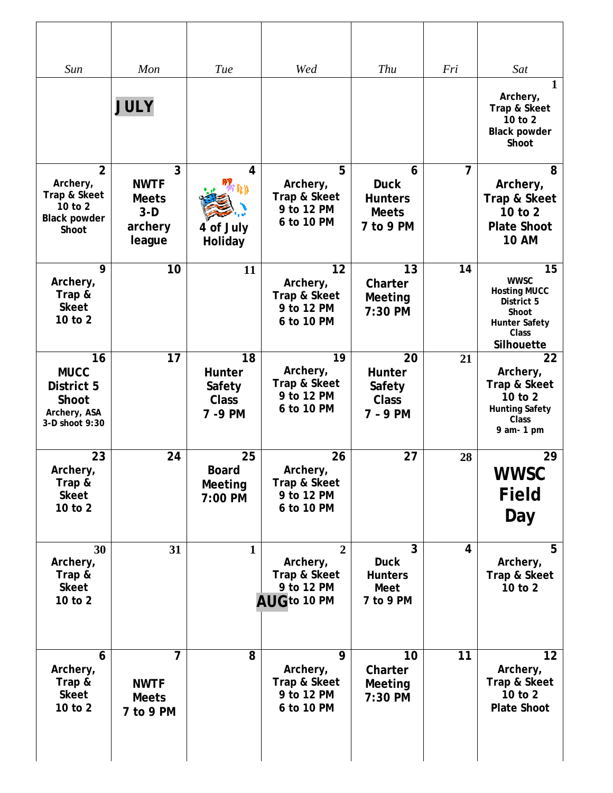| Sun                                                                                   | Mon                                                            | Tue                                                | Wed                                                                      | Thu                                                               | Fri            | Sat                                                                                                                   |
|---------------------------------------------------------------------------------------|----------------------------------------------------------------|----------------------------------------------------|--------------------------------------------------------------------------|-------------------------------------------------------------------|----------------|-----------------------------------------------------------------------------------------------------------------------|
|                                                                                       | <b>JULY</b>                                                    |                                                    |                                                                          |                                                                   |                | 1<br>Archery,<br>Trap & Skeet<br>10 to 2<br><b>Black powder</b><br>Shoot                                              |
| $\overline{2}$<br>Archery,<br>Trap & Skeet<br>10 to 2<br><b>Black powder</b><br>Shoot | 3<br><b>NWTF</b><br><b>Meets</b><br>$3-D$<br>archery<br>league | 4<br>'tru<br>4 of July<br>Holiday                  | 5<br>Archery,<br>Trap & Skeet<br>9 to 12 PM<br>6 to 10 PM                | 6<br><b>Duck</b><br><b>Hunters</b><br><b>Meets</b><br>7 to 9 PM   | $\overline{7}$ | 8<br>Archery,<br>Trap & Skeet<br>10 to 2<br><b>Plate Shoot</b><br><b>10 AM</b>                                        |
| 9<br>Archery,<br>Trap &<br><b>Skeet</b><br>10 to 2                                    | 10                                                             | 11                                                 | 12<br>Archery,<br>Trap & Skeet<br>9 to 12 PM<br>6 to 10 PM               | 13<br>Charter<br><b>Meeting</b><br>7:30 PM                        | 14             | 15<br><b>WWSC</b><br><b>Hosting MUCC</b><br>District 5<br>Shoot<br><b>Hunter Safety</b><br><b>Class</b><br>Silhouette |
| 16<br><b>MUCC</b><br>District 5<br>Shoot<br>Archery, ASA<br>3-D shoot 9:30            | 17                                                             | 18<br>Hunter<br>Safety<br><b>Class</b><br>7 - 9 PM | $\overline{19}$<br>Archery,<br>Trap & Skeet<br>9 to 12 PM<br>6 to 10 PM  | $\overline{2}0$<br>Hunter<br>Safety<br><b>Class</b><br>$7 - 9$ PM | 21             | 22<br>Archery,<br>Trap & Skeet<br>10 to 2<br><b>Hunting Safety</b><br>Class<br>9 am- 1 pm                             |
| 23<br>Archery,<br>Trap &<br><b>Skeet</b><br>10 to 2                                   | 24                                                             | 25<br><b>Board</b><br>Meeting<br>7:00 PM           | 26<br>Archery,<br>Trap & Skeet<br>9 to 12 PM<br>6 to 10 PM               | 27                                                                | 28             | 29<br><b>WWSC</b><br><b>Field</b><br>Day                                                                              |
| 30<br>Archery,<br>Trap &<br><b>Skeet</b><br>10 to 2                                   | 31                                                             | $\mathbf{1}$                                       | $\overline{2}$<br>Archery,<br>Trap & Skeet<br>9 to 12 PM<br>AUG to 10 PM | 3<br><b>Duck</b><br><b>Hunters</b><br>Meet<br>7 to 9 PM           | 4              | 5<br>Archery,<br>Trap & Skeet<br>10 to 2                                                                              |
| 6<br>Archery,<br>Trap &<br><b>Skeet</b><br>10 to 2                                    | <b>NWTF</b><br><b>Meets</b><br>7 to 9 PM                       | 8                                                  | 9<br>Archery,<br>Trap & Skeet<br>9 to 12 PM<br>6 to 10 PM                | 10<br>Charter<br>Meeting<br>7:30 PM                               | 11             | 12<br>Archery,<br>Trap & Skeet<br>10 to 2<br><b>Plate Shoot</b>                                                       |